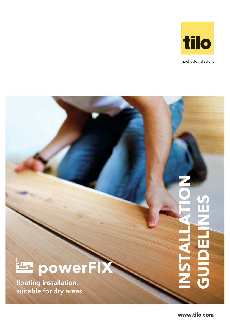

macht den Boden.



floating installation, suitable for dry areas

**www.tilo.com**

**INSTALLATION**

**GUIDE**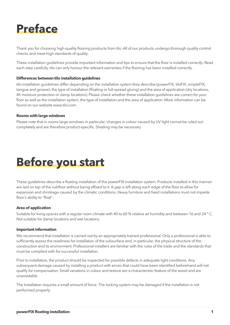

Thank you for choosing high-quality flooring products from tilo. All of our products undergo thorough quality control checks and meet high standards of quality.

These installation guidelines provide important information and tips to ensure that the floor is installed correctly. Read each step carefully. tilo can only honour the relevant warranties if the flooring has been installed correctly.

#### **Differences between tilo installation guidelines**

tilo installation guidelines differ depending on the installation system they describe (powerFIX, tiloFIX, simpleFIX, tongue and groove), the type of installation (floating or full-spread gluing) and the area of application (dry locations, 4h moisture protection or damp locations). Please check whether these installation guidelines are correct for your floor as well as the installation system, the type of installation and the area of application. More information can be found on our website www.tilo.com.

#### **Rooms with large windows**

Please note that in rooms large windows in particular, changes in colour caused by UV light cannot be ruled out completely and are therefore product-specific. Shading may be necessary



These guidelines describe a floating installation of the powerFIX installation system. Products installed in this manner are laid on top of the subfloor without being affixed to it. A gap is left along each edge of the floor to allow for expansion and shrinkage caused by the climatic conditions. Heavy furniture and fixed installations must not impede floor's ability to "float".

#### **Area of application**

Suitable for living spaces with a regular room climate with 40 to 60 % relative air humidity and between 16 and 24 ° C. Not suitable for damp locations and wet locations.

#### **Important information**

We recommend that installation is carried out by an appropriately trained professional. Only a professional is able to sufficiently assess the readiness for installation of the subsurface and, in particular, the physical structure of the construction and its environment. Professional installers are familiar with the rules of the trade and the standards that must be complied with for successful installation.

Prior to installation, the product should be inspected for possible defects in adequate light conditions. Any subsequent damage caused by installing a product with errors that could have been identified beforehand will not qualify for compensation. Small variations in colour and texture are a characteristic feature of the wood and are unavoidable.

The Installation requires a small amount of force. The locking system may be damaged if the installation is not performed properly.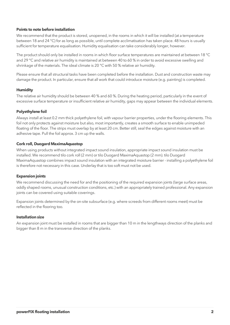## **Points to note before installation**

We recommend that the product is stored, unopened, in the rooms in which it will be installed (at a temperature between 18 and 24 °C) for as long as possible, until complete acclimatisation has taken place. 48 hours is usually sufficient for temperature equalisation. Humidity equalisation can take considerably longer, however.

The product should only be installed in rooms in which floor surface temperatures are maintained at between 18 °C and 29 °C and relative air humidity is maintained at between 40 to 60 % in order to avoid excessive swelling and shrinkage of the materials. The ideal climate is 20 °C with 50 % relative air humidity.

Please ensure that all structural tasks have been completed before the installation. Dust and construction waste may damage the product. In particular, ensure that all work that could introduce moisture (e.g. painting) is completed.

# **Humidity**

The relative air humidity should be between 40 % and 60 %. During the heating period, particularly in the event of excessive surface temperature or insufficient relative air humidity, gaps may appear between the individual elements.

## **Polyethylene foil**

Always install at least 0.2 mm thick polyethylene foil, with vapour barrier properties, under the flooring elements. This foil not only protects against moisture but also, most importantly, creates a smooth surface to enable unimpeded floating of the floor. The strips must overlap by at least 20 cm. Better still, seal the edges against moisture with an adhesive tape. Pull the foil approx. 3 cm up the walls.

## **Cork roll, Duogard MaximaAquastop**

When using products without integrated impact sound insulation, appropriate impact sound insulation must be installed. We recommend tilo cork roll (2 mm) or tilo Duogard MaximaAquastop (2 mm). tilo Duogard MaximaAquastop combines impact sound insulation with an integrated moisture barrier - installing a polyethylene foil is therefore not necessary in this case. Underlay that is too soft must not be used.

#### **Expansion joints**

We recommend discussing the need for and the positioning of the required expansion joints (large surface areas, oddly shaped rooms, unusual construction conditions, etc.) with an appropriately trained professional. Any expansion joints can be covered using suitable coverings.

Expansion joints determined by the on-site subsurface (e.g. where screeds from different rooms meet) must be reflected in the flooring too.

#### **Installation size**

An expansion joint must be installed in rooms that are bigger than 10 m in the lengthways direction of the planks and bigger than 8 m in the transverse direction of the planks.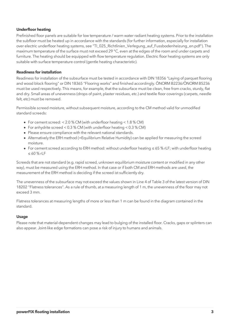# **Underfloor heating**

Prefinished floor panels are suitable for low temperature / warm water radiant heating systems. Prior to the installation the subfloor must be heated up in accordance with the standards (for further information, especially for installation over electric underfloor heating systems, see "TI\_025\_Richtlinien\_Verlegung\_auf\_Fussbodenheizung\_en.pdf"). The maximum temperature of the surface must not exceed 29 °C, even at the edges of the room and under carpets and furniture. The heating should be equipped with flow temperature regulation. Electric floor heating systems are only suitable with surface temperature control (gentle heating characteristic).

## **Readiness for installation**

Readiness for installation of the subsurface must be tested in accordance with DIN 18356 "Laying of parquet flooring and wood block flooring" or DIN 18365 "Flooring works" and finished accordingly. ÖNORM B2236/ÖNORM B5236 must be used respectively. This means, for example, that the subsurface must be clean, free from cracks, sturdy, flat and dry. Small areas of unevenness (drops of paint, plaster residues, etc.) and textile floor coverings (carpets, needle felt, etc) must be removed.

Permissible screed moisture, without subsequent moisture, according to the CM method valid for unmodified standard screeds:

- For cement screed: < 2.0 % CM (with underfloor heating < 1.8 % CM)
- For anhydrite screed < 0.3 % CM (with underfloor heating < 0.3 % CM)
- Please ensure compliance with the relevant national standards.
- Alternatively the ERH method (=Equilibrium Relative Humidity) can be applied for measuring the screed moisture.
- For cement screed according to ERH method: without underfloor heating ≤ 65 % rLF; with underfloor heating ≤ 60 % rLF

Screeds that are not standard (e.g. rapid screed, unknown equilibrium moisture content or modified in any other way), must be measured using the ERH method. In that case or if both CM and ERH methods are used, the measurement of the ERH method is deciding if the screed ist sufficiently dry.

The unevenness of the subsurface may not exceed the values shown in Line 4 of Table 3 of the latest version of DIN 18202 "Flatness tolerances". As a rule of thumb, at a measuring length of 1 m, the unevenness of the floor may not exceed 3 mm.

Flatness tolerances at measuring lengths of more or less than 1 m can be found in the diagram contained in the standard.

#### **Usage**

Please note that material-dependent changes may lead to bulging of the installed floor. Cracks, gaps or splinters can also appear. Joint-like edge formations can pose a risk of injury to humans and animals.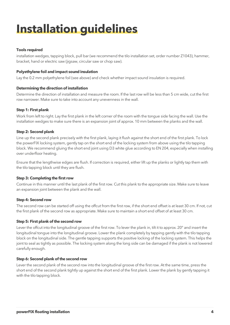# **Installation guidelines**

# **Tools required**

installation wedges, tapping block, pull bar (we recommend the tilo installation set, order number Z1043), hammer, bracket, hand or electric saw (jigsaw, circular saw or chop saw).

# **Polyethylene foil and impact sound insulation**

Lay the 0.2 mm polyethylene foil (see above) and check whether impact sound insulation is required.

# **Determining the direction of installation**

Determine the direction of installation and measure the room. If the last row will be less than 5 cm wide, cut the first row narrower. Make sure to take into account any unevenness in the wall.

# **Step 1: First plank**

Work from left to right. Lay the first plank in the left corner of the room with the tongue side facing the wall. Use the installation wedges to make sure there is an expansion joint of approx. 10 mm between the planks and the wall.

# **Step 2: Second plank**

Line up the second plank precisely with the first plank, laying it flush against the short end of the first plank. To lock the powerFIX locking system, gently tap on the short end of the locking system from above using the tilo tapping block. We recommend gluing the short end joint using D3 white glue according to EN 204, especially when installing over underfloor heating.

Ensure that the lengthwise edges are flush. If correction is required, either lift up the planks or lightly tap them with the tilo tapping block until they are flush.

# **Step 3: Completing the first row**

Continue in this manner until the last plank of the first row. Cut this plank to the appropriate size. Make sure to leave an expansion joint between the plank and the wall.

# **Step 4: Second row**

The second row can be started off using the offcut from the first row, if the short end offset is at least 30 cm. If not, cut the first plank of the second row as appropriate. Make sure to maintain a short end offset of at least 30 cm.

# **Step 5: First plank of the second row**

Lever the offcut into the longitudinal groove of the first row. To lever the plank in, tilt it to approx. 20° and insert the longitudinal tongue into the longitudinal groove. Lower the plank completely by tapping gently with the tilo tapping block on the longitudinal side. The gentle tapping supports the positive locking of the locking system. This helps the joint to seal as tightly as possible. The locking system along the long side can be damaged if the plank is not lowered carefully enough.

# **Step 6: Second plank of the second row**

Lever the second plank of the second row into the longitudinal groove of the first row. At the same time, press the short end of the second plank tightly up against the short end of the first plank. Lower the plank by gently tapping it with the tilo tapping block.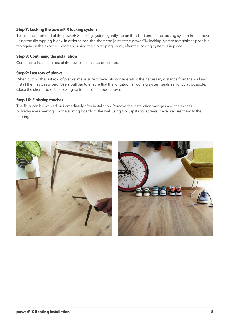# **Step 7: Locking the powerFIX locking system**

To lock the short end of the powerFIX locking system, gently tap on the short end of the locking system from above using the tilo tapping block. In order to seal the short end joint of the powerFIX locking system as tightly as possible tap again on the exposed short end using the tilo tapping block, after the locking system is in place.

## **Step 8: Continuing the installation**

Continue to install the rest of the rows of planks as described.

## **Step 9: Last row of planks**

When cutting the last row of planks, make sure to take into consideration the necessary distance from the wall and install them as described. Use a pull bar to ensure that the longitudinal locking system seals as tightly as possible. Close the short end of the locking system as described above.

## **Step 10: Finishing touches**

The floor can be walked on immediately after installation. Remove the installation wedges and the excess polyethylene sheeting. Fix the skirting boards to the wall using tilo Clipstar or screws; never secure them to the flooring.